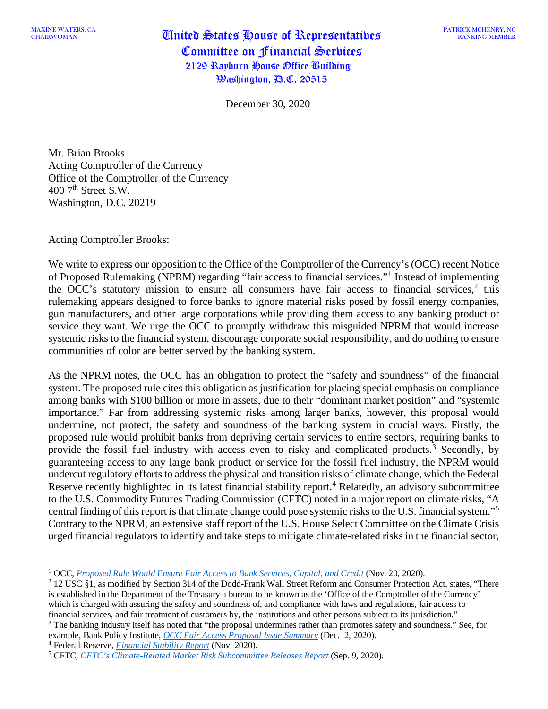CHAIRWOMAN United States House of Representatives Committee on Financial Services 2129 Rayburn House Office Building Washington, D.C. 20515

December 30, 2020

Mr. Brian Brooks Acting Comptroller of the Currency Office of the Comptroller of the Currency  $400$  7<sup>th</sup> Street S.W. Washington, D.C. 20219

Acting Comptroller Brooks:

We write to express our opposition to the Office of the Comptroller of the Currency's (OCC) recent Notice of Proposed Rulemaking (NPRM) regarding "fair access to financial services."[1](#page-0-0) Instead of implementing the OCC's statutory mission to ensure all consumers have fair access to financial services, [2](#page-0-1) this rulemaking appears designed to force banks to ignore material risks posed by fossil energy companies, gun manufacturers, and other large corporations while providing them access to any banking product or service they want. We urge the OCC to promptly withdraw this misguided NPRM that would increase systemic risks to the financial system, discourage corporate social responsibility, and do nothing to ensure communities of color are better served by the banking system.

As the NPRM notes, the OCC has an obligation to protect the "safety and soundness" of the financial system. The proposed rule cites this obligation as justification for placing special emphasis on compliance among banks with \$100 billion or more in assets, due to their "dominant market position" and "systemic importance." Far from addressing systemic risks among larger banks, however, this proposal would undermine, not protect, the safety and soundness of the banking system in crucial ways. Firstly, the proposed rule would prohibit banks from depriving certain services to entire sectors, requiring banks to provide the fossil fuel industry with access even to risky and complicated products.<sup>[3](#page-0-2)</sup> Secondly, by guaranteeing access to any large bank product or service for the fossil fuel industry, the NPRM would undercut regulatory efforts to address the physical and transition risks of climate change, which the Federal Reserve recently highlighted in its latest financial stability report.<sup>[4](#page-0-3)</sup> Relatedly, an advisory subcommittee to the U.S. Commodity Futures Trading Commission (CFTC) noted in a major report on climate risks, "A central finding of this report is that climate change could pose systemic risks to the U.S. financial system."[5](#page-0-4) Contrary to the NPRM, an extensive staff report of the U.S. House Select Committee on the Climate Crisis urged financial regulators to identify and take steps to mitigate climate-related risks in the financial sector,

<span id="page-0-2"></span><sup>3</sup> The banking industry itself has noted that "the proposal undermines rather than promotes safety and soundness." See, for example, Bank Policy Institute, *[OCC Fair Access Proposal Issue Summary](https://bpi.com/occ-fair-access-proposal-issue-summary/)* (Dec. 2, 2020).

<span id="page-0-3"></span><sup>4</sup> Federal Reserve, *[Financial Stability Report](https://www.federalreserve.gov/publications/files/financial-stability-report-20201109.pdf)* (Nov. 2020).

<span id="page-0-0"></span><sup>1</sup> OCC, *[Proposed Rule Would Ensure Fair Access to Bank Services, Capital, and Credit](https://www.occ.gov/news-issuances/news-releases/2020/nr-occ-2020-156.html)* (Nov. 20, 2020).

<span id="page-0-1"></span><sup>2</sup> 12 USC §1, as modified by Section 314 of the Dodd-Frank Wall Street Reform and Consumer Protection Act, states, "There is established in the Department of the Treasury a bureau to be known as the 'Office of the Comptroller of the Currency' which is charged with assuring the safety and soundness of, and compliance with laws and regulations, fair access to financial services, and fair treatment of customers by, the institutions and other persons subject to its jurisdiction."

<span id="page-0-4"></span><sup>5</sup> CFTC, *[CFTC's Climate-Related Market Risk Subcommittee Releases Report](https://www.cftc.gov/PressRoom/PressReleases/8234-20)* (Sep. 9, 2020).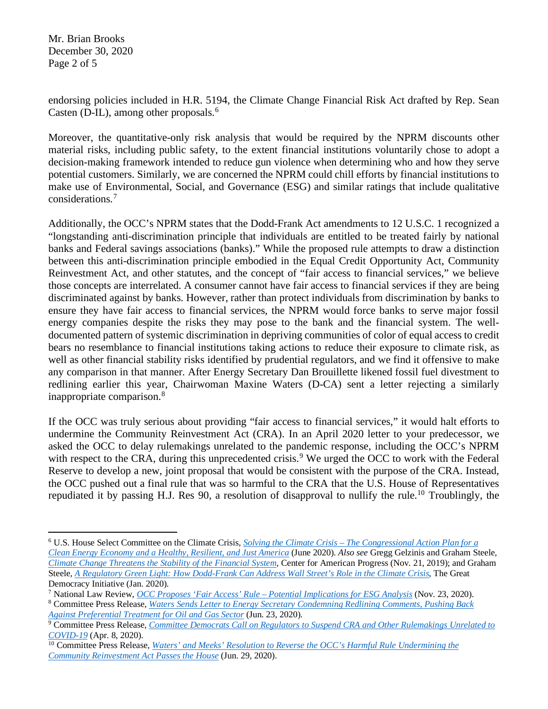Mr. Brian Brooks December 30, 2020 Page 2 of 5

endorsing policies included in H.R. 5194, the Climate Change Financial Risk Act drafted by Rep. Sean Casten (D-IL), among other proposals. [6](#page-1-0)

Moreover, the quantitative-only risk analysis that would be required by the NPRM discounts other material risks, including public safety, to the extent financial institutions voluntarily chose to adopt a decision-making framework intended to reduce gun violence when determining who and how they serve potential customers. Similarly, we are concerned the NPRM could chill efforts by financial institutions to make use of Environmental, Social, and Governance (ESG) and similar ratings that include qualitative considerations.[7](#page-1-1)

Additionally, the OCC's NPRM states that the Dodd-Frank Act amendments to 12 U.S.C. 1 recognized a "longstanding anti-discrimination principle that individuals are entitled to be treated fairly by national banks and Federal savings associations (banks)." While the proposed rule attempts to draw a distinction between this anti-discrimination principle embodied in the Equal Credit Opportunity Act, Community Reinvestment Act, and other statutes, and the concept of "fair access to financial services," we believe those concepts are interrelated. A consumer cannot have fair access to financial services if they are being discriminated against by banks. However, rather than protect individuals from discrimination by banks to ensure they have fair access to financial services, the NPRM would force banks to serve major fossil energy companies despite the risks they may pose to the bank and the financial system. The welldocumented pattern of systemic discrimination in depriving communities of color of equal access to credit bears no resemblance to financial institutions taking actions to reduce their exposure to climate risk, as well as other financial stability risks identified by prudential regulators, and we find it offensive to make any comparison in that manner. After Energy Secretary Dan Brouillette likened fossil fuel divestment to redlining earlier this year, Chairwoman Maxine Waters (D-CA) sent a letter rejecting a similarly inappropriate comparison.[8](#page-1-2)

If the OCC was truly serious about providing "fair access to financial services," it would halt efforts to undermine the Community Reinvestment Act (CRA). In an April 2020 letter to your predecessor, we asked the OCC to delay rulemakings unrelated to the pandemic response, including the OCC's NPRM with respect to the CRA, during this unprecedented crisis.<sup>[9](#page-1-3)</sup> We urged the OCC to work with the Federal Reserve to develop a new, joint proposal that would be consistent with the purpose of the CRA. Instead, the OCC pushed out a final rule that was so harmful to the CRA that the U.S. House of Representatives repudiated it by passing H.J. Res 90, a resolution of disapproval to nullify the rule.<sup>[10](#page-1-4)</sup> Troublingly, the

<span id="page-1-0"></span><sup>6</sup> U.S. House Select Committee on the Climate Crisis, *Solving the Climate Crisis – [The Congressional Action Plan](https://climatecrisis.house.gov/report) for a Clean Energy Economy [and a Healthy, Resilient, and Just America](https://climatecrisis.house.gov/report)* (June 2020). *Also see* Gregg Gelzinis and Graham Steele, *[Climate Change Threatens the Stability of the Financial System](https://www.americanprogress.org/issues/economy/reports/2019/11/21/477190/climate-change-threatens-stability-financial-system/)*, Center for American Progress (Nov. 21, 2019); and Graham Steele, *[A Regulatory Green Light: How Dodd-Frank Can Address Wall Street's Role in the Climate Crisis](https://greatdemocracyinitiative.org/document/dodd-frank-and-the-climate-crisis/)*, The Great Democracy Initiative (Jan. 2020).

<span id="page-1-1"></span><sup>7</sup> National Law Review, *OCC Proposes 'Fair Access' Rule – [Potential Implications for ESG Analysis](https://www.natlawreview.com/article/occ-proposes-fair-access-rule-potential-implications-esg-analysis)* (Nov. 23, 2020). <sup>8</sup> Committee Press Release, *[Waters Sends Letter to Energy Secretary Condemning Redlining Comments, Pushing Back](https://financialservices.house.gov/news/documentsingle.aspx?DocumentID=406696)* 

<span id="page-1-2"></span>*[Against Preferential Treatment for Oil and Gas Sector](https://financialservices.house.gov/news/documentsingle.aspx?DocumentID=406696)* (Jun. 23, 2020).

<span id="page-1-3"></span><sup>9</sup> Committee Press Release, *[Committee Democrats Call on Regulators to Suspend CRA and Other Rulemakings Unrelated to](https://financialservices.house.gov/news/documentsingle.aspx?DocumentID=406490)  [COVID-19](https://financialservices.house.gov/news/documentsingle.aspx?DocumentID=406490)* (Apr. 8, 2020).

<span id="page-1-4"></span><sup>&</sup>lt;sup>10</sup> Committee Press Release, *Waters' and <u>Meeks' Resolution to Reverse the OCC's Harmful Rule Undermining the</u> [Community Reinvestment Act Passes the House](https://financialservices.house.gov/news/documentsingle.aspx?DocumentID=406724)* (Jun. 29, 2020).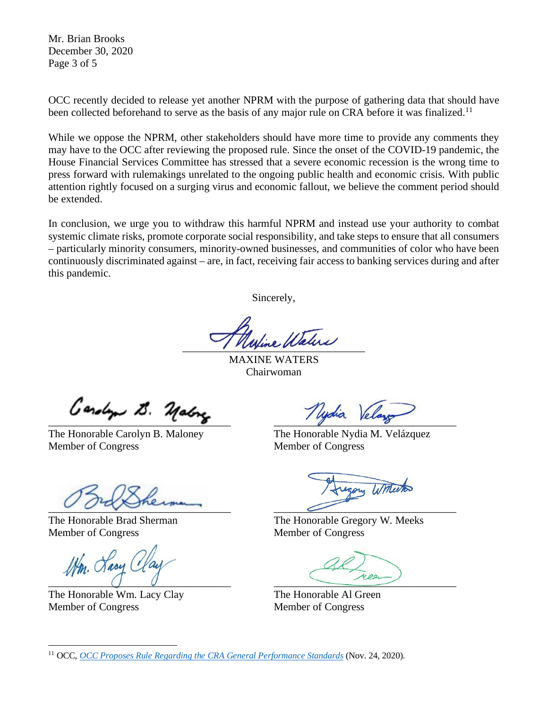Mr. Brian Brooks December 30, 2020 Page 3 of 5

OCC recently decided to release yet another NPRM with the purpose of gathering data that should have been collected beforehand to serve as the basis of any major rule on CRA before it was finalized.<sup>[11](#page-2-0)</sup>

While we oppose the NPRM, other stakeholders should have more time to provide any comments they may have to the OCC after reviewing the proposed rule. Since the onset of the COVID-19 pandemic, the House Financial Services Committee has stressed that a severe economic recession is the wrong time to press forward with rulemakings unrelated to the ongoing public health and economic crisis. With public attention rightly focused on a surging virus and economic fallout, we believe the comment period should be extended.

In conclusion, we urge you to withdraw this harmful NPRM and instead use your authority to combat systemic climate risks, promote corporate social responsibility, and take steps to ensure that all consumers – particularly minority consumers, minority-owned businesses, and communities of color who have been continuously discriminated against – are, in fact, receiving fair access to banking services during and after this pandemic.

Sincerely,

 $\blacksquare$ 

MAXINE WATERS Chairwoman

 $\mathcal{L}$  and  $\mathcal{L}$  ,  $\mathcal{L}$  ,  $\mathcal{L}$ 

The Honorable Carolyn B. Maloney The Honorable Nydia M. Velázquez Member of Congress Member of Congress

 $\overline{\mathscr{O}}$   $\overline{\mathscr{O}}$   $\overline{\mathscr{O}}$   $\overline{\mathscr{O}}$   $\overline{\mathscr{O}}$ 

Member of Congress Member of Congress

Wm. Lacy Cl  $\overline{0}$   $\overline{0}$   $\overline{0}$   $\overline{0}$   $\overline{0}$   $\overline{0}$   $\overline{0}$   $\overline{0}$   $\overline{0}$   $\overline{0}$   $\overline{0}$   $\overline{0}$   $\overline{0}$   $\overline{0}$   $\overline{0}$   $\overline{0}$   $\overline{0}$   $\overline{0}$   $\overline{0}$   $\overline{0}$   $\overline{0}$   $\overline{0}$   $\overline{0}$   $\overline{0}$   $\overline{$ 

The Honorable Wm. Lacy Clay The Honorable Al Green Member of Congress Member of Congress

The Honorable Brad Sherman The Honorable Gregory W. Meeks

<span id="page-2-0"></span><sup>11</sup> OCC, *[OCC Proposes Rule Regarding the CRA General Performance Standards](https://www.occ.gov/news-issuances/news-releases/2020/nr-occ-2020-160.html)* (Nov. 24, 2020).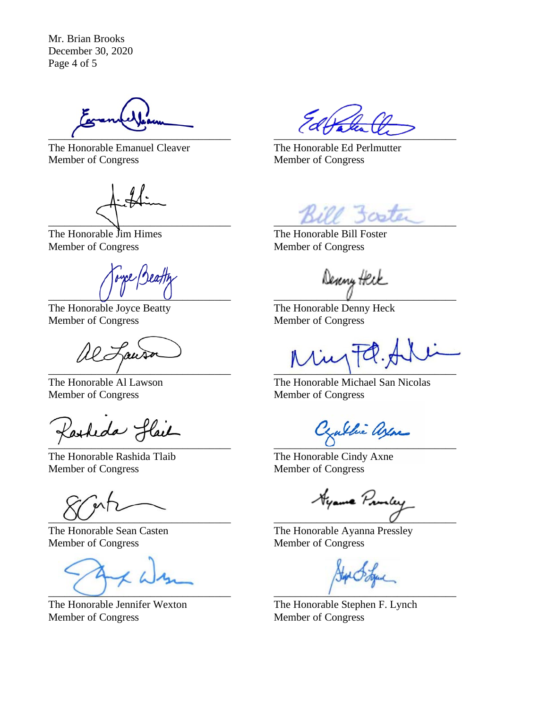Mr. Brian Brooks December 30, 2020 Page 4 of 5

 $\frac{1}{2}$ 

The Honorable Emanuel Cleaver The Honorable Ed Perlmutter Member of Congress Member of Congress

The Honorable Jim Himes The Honorable Bill Foster Member of Congress Member of Congress

Type Beatty \_\_\_\_\_\_\_\_\_\_\_\_\_\_\_\_\_\_\_\_\_\_\_\_\_\_\_\_\_\_\_\_\_\_ \_\_\_\_\_\_\_\_\_\_\_\_\_\_\_\_\_\_\_\_\_\_\_\_\_\_\_\_\_\_\_\_\_\_

The Honorable Joyce Beatty The Honorable Denny Heck Member of Congress Member of Congress

al Lauson

Member of Congress Member of Congress

Lasheda flail  $\overline{\phantom{a}}$  ,  $\overline{\phantom{a}}$  ,  $\overline{\phantom{a}}$  ,  $\overline{\phantom{a}}$  ,  $\overline{\phantom{a}}$  ,  $\overline{\phantom{a}}$  ,  $\overline{\phantom{a}}$  ,  $\overline{\phantom{a}}$  ,  $\overline{\phantom{a}}$  ,  $\overline{\phantom{a}}$  ,  $\overline{\phantom{a}}$  ,  $\overline{\phantom{a}}$  ,  $\overline{\phantom{a}}$  ,  $\overline{\phantom{a}}$  ,  $\overline{\phantom{a}}$  ,  $\overline{\phantom{a}}$ 

The Honorable Rashida Tlaib The Honorable Cindy Axne Member of Congress Member of Congress

 $\mathbf{M}$  $\overline{\phantom{a}}$   $\overline{\phantom{a}}$   $\overline{\phantom{a}}$   $\overline{\phantom{a}}$   $\overline{\phantom{a}}$   $\overline{\phantom{a}}$   $\overline{\phantom{a}}$   $\overline{\phantom{a}}$   $\overline{\phantom{a}}$   $\overline{\phantom{a}}$   $\overline{\phantom{a}}$   $\overline{\phantom{a}}$   $\overline{\phantom{a}}$   $\overline{\phantom{a}}$   $\overline{\phantom{a}}$   $\overline{\phantom{a}}$   $\overline{\phantom{a}}$   $\overline{\phantom{a}}$   $\overline{\$ 

Member of Congress Member of Congress

 $\Box$  . The contract of the contract of the contract of the contract of the contract of the contract of the contract of the contract of the contract of the contract of the contract of the contract of the contract of the co

The Honorable Jennifer Wexton The Honorable Stephen F. Lynch Member of Congress Member of Congress

Bill 3coter

 $\overline{\phantom{a}}$ 

The Honorable Al Lawson The Honorable Michael San Nicolas

The Honorable Sean Casten The Honorable Ayanna Pressley